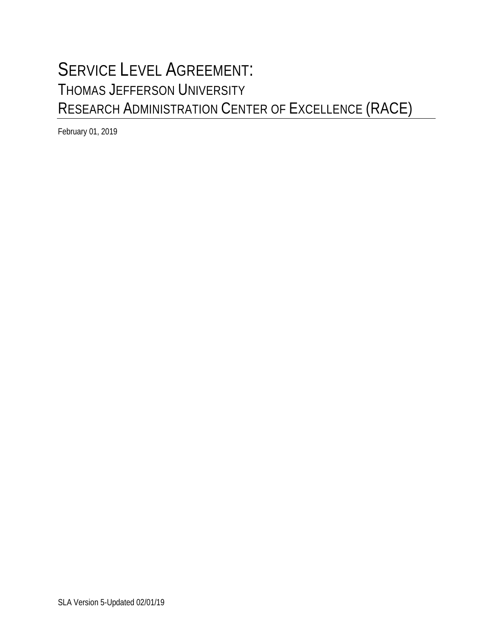# SERVICE LEVEL AGREEMENT: THOMAS JEFFERSON UNIVERSITY RESEARCH ADMINISTRATION CENTER OF EXCELLENCE (RACE)

February 01, 2019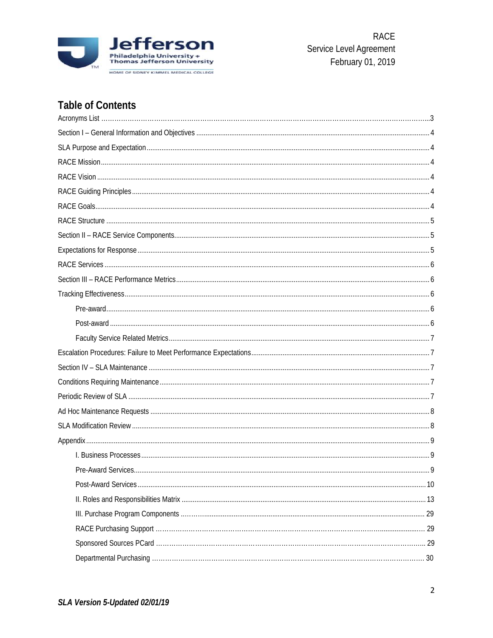

# **Table of Contents**

<span id="page-1-0"></span>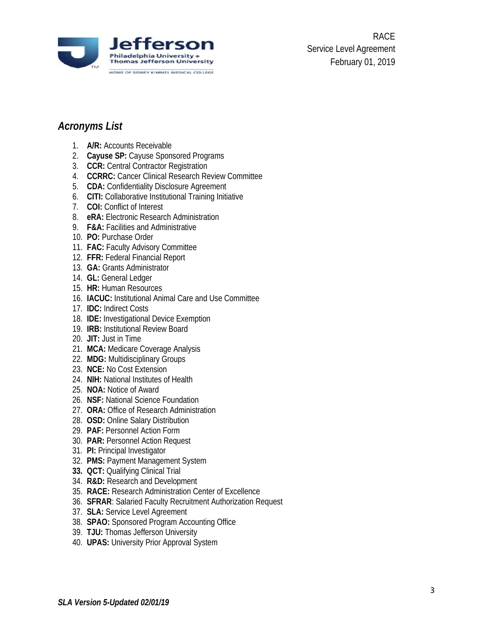

RACE Service Level Agreement February 01, 2019

# <span id="page-2-0"></span>*Acronyms List*

- 1. **A/R:** Accounts Receivable
- 2. **Cayuse SP:** Cayuse Sponsored Programs
- 3. **CCR:** Central Contractor Registration
- 4. **CCRRC:** Cancer Clinical Research Review Committee
- 5. **CDA:** Confidentiality Disclosure Agreement
- 6. **CITI:** Collaborative Institutional Training Initiative
- 7. **COI:** Conflict of Interest
- 8. **eRA:** Electronic Research Administration
- 9. **F&A:** Facilities and Administrative
- 10. **PO:** Purchase Order
- 11. **FAC:** Faculty Advisory Committee
- 12. **FFR:** Federal Financial Report
- 13. **GA:** Grants Administrator
- 14. **GL:** General Ledger
- 15. **HR:** Human Resources
- 16. **IACUC:** Institutional Animal Care and Use Committee
- 17. **IDC:** Indirect Costs
- 18. **IDE:** Investigational Device Exemption
- 19. **IRB:** Institutional Review Board
- 20. **JIT:** Just in Time
- 21. **MCA:** Medicare Coverage Analysis
- 22. **MDG:** Multidisciplinary Groups
- 23. **NCE:** No Cost Extension
- 24. **NIH:** National Institutes of Health
- 25. **NOA:** Notice of Award
- 26. **NSF:** National Science Foundation
- 27. **ORA:** Office of Research Administration
- 28. **OSD:** Online Salary Distribution
- 29. **PAF:** Personnel Action Form
- 30. **PAR:** Personnel Action Request
- 31. **PI:** Principal Investigator
- 32. **PMS:** Payment Management System
- **33. QCT:** Qualifying Clinical Trial
- 34. **R&D:** Research and Development
- 35. **RACE:** Research Administration Center of Excellence
- 36. **SFRAR**: Salaried Faculty Recruitment Authorization Request
- 37. **SLA:** Service Level Agreement
- 38. **SPAO:** Sponsored Program Accounting Office
- 39. **TJU:** Thomas Jefferson University
- 40. **UPAS:** University Prior Approval System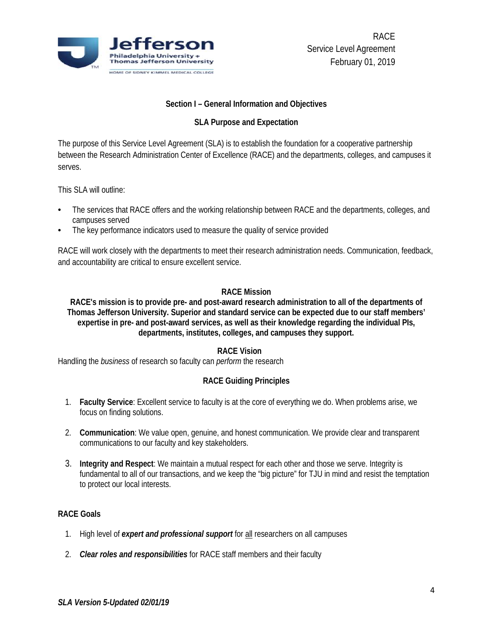

#### **Section I – General Information and Objectives**

#### **SLA Purpose and Expectation**

<span id="page-3-0"></span>The purpose of this Service Level Agreement (SLA) is to establish the foundation for a cooperative partnership between the Research Administration Center of Excellence (RACE) and the departments, colleges, and campuses it serves.

This SLA will outline:

- The services that RACE offers and the working relationship between RACE and the departments, colleges, and campuses served
- The key performance indicators used to measure the quality of service provided

RACE will work closely with the departments to meet their research administration needs. Communication, feedback, and accountability are critical to ensure excellent service.

#### **RACE Mission**

<span id="page-3-1"></span>**RACE's mission is to provide pre- and post-award research administration to all of the departments of Thomas Jefferson University. Superior and standard service can be expected due to our staff members' expertise in pre- and post-award services, as well as their knowledge regarding the individual PIs, departments, institutes, colleges, and campuses they support.**

#### **RACE Vision**

<span id="page-3-3"></span><span id="page-3-2"></span>Handling the *business* of research so faculty can *perform* the research

### **RACE Guiding Principles**

- 1. **Faculty Service**: Excellent service to faculty is at the core of everything we do. When problems arise, we focus on finding solutions.
- 2. **Communication**: We value open, genuine, and honest communication. We provide clear and transparent communications to our faculty and key stakeholders.
- 3. **Integrity and Respect**: We maintain a mutual respect for each other and those we serve. Integrity is fundamental to all of our transactions, and we keep the "big picture" for TJU in mind and resist the temptation to protect our local interests.

#### <span id="page-3-4"></span>**RACE Goals**

- 1. High level of *expert and professional support* for all researchers on all campuses
- 2. *Clear roles and responsibilities* for RACE staff members and their faculty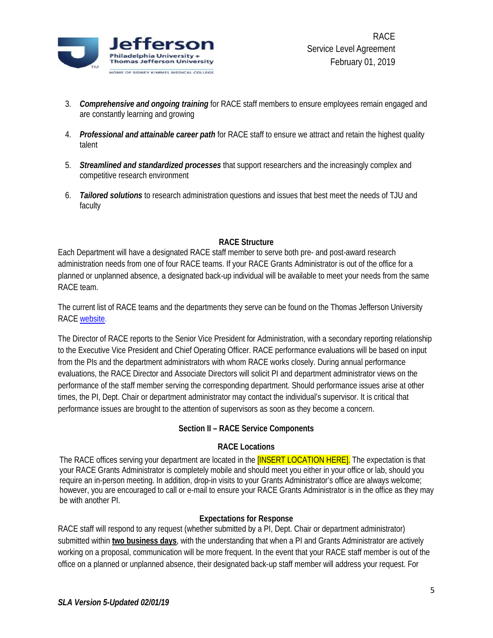

- 3. *Comprehensive and ongoing training* for RACE staff members to ensure employees remain engaged and are constantly learning and growing
- 4. *Professional and attainable career path* for RACE staff to ensure we attract and retain the highest quality talent
- 5. *Streamlined and standardized processes* that support researchers and the increasingly complex and competitive research environment
- 6. *Tailored solutions* to research administration questions and issues that best meet the needs of TJU and faculty

#### **RACE Structure**

<span id="page-4-0"></span>Each Department will have a designated RACE staff member to serve both pre- and post-award research administration needs from one of four RACE teams. If your RACE Grants Administrator is out of the office for a planned or unplanned absence, a designated back-up individual will be available to meet your needs from the same RACE team.

The current list of RACE teams and the departments they serve can be found on the Thomas Jefferson University RACE [website.](http://www.jefferson.edu/university/research/resources/sponsored-research/race.html)

The Director of RACE reports to the Senior Vice President for Administration, with a secondary reporting relationship to the Executive Vice President and Chief Operating Officer. RACE performance evaluations will be based on input from the PIs and the department administrators with whom RACE works closely. During annual performance evaluations, the RACE Director and Associate Directors will solicit PI and department administrator views on the performance of the staff member serving the corresponding department. Should performance issues arise at other times, the PI, Dept. Chair or department administrator may contact the individual's supervisor. It is critical that performance issues are brought to the attention of supervisors as soon as they become a concern.

#### **Section II – RACE Service Components**

#### **RACE Locations**

<span id="page-4-1"></span>The RACE offices serving your department are located in the **[INSERT LOCATION HERE]**. The expectation is that your RACE Grants Administrator is completely mobile and should meet you either in your office or lab, should you require an in-person meeting. In addition, drop-in visits to your Grants Administrator's office are always welcome; however, you are encouraged to call or e-mail to ensure your RACE Grants Administrator is in the office as they may be with another PI.

#### **Expectations for Response**

<span id="page-4-2"></span>RACE staff will respond to any request (whether submitted by a PI, Dept. Chair or department administrator) submitted within **two business days**, with the understanding that when a PI and Grants Administrator are actively working on a proposal, communication will be more frequent. In the event that your RACE staff member is out of the office on a planned or unplanned absence, their designated back-up staff member will address your request. For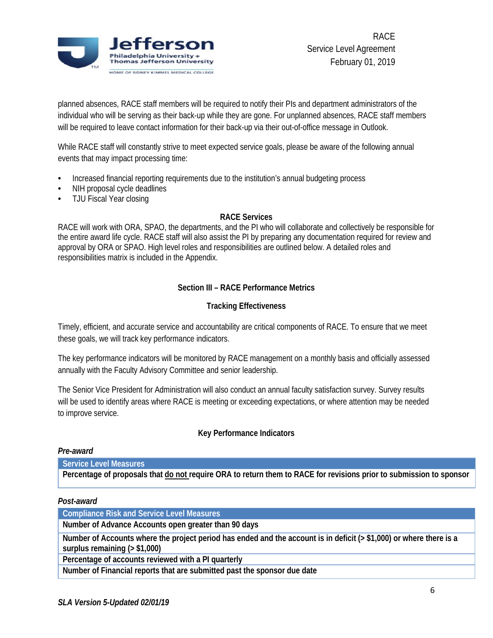

planned absences, RACE staff members will be required to notify their PIs and department administrators of the individual who will be serving as their back-up while they are gone. For unplanned absences, RACE staff members will be required to leave contact information for their back-up via their out-of-office message in Outlook.

While RACE staff will constantly strive to meet expected service goals, please be aware of the following annual events that may impact processing time:

- Increased financial reporting requirements due to the institution's annual budgeting process
- NIH proposal cycle deadlines
- <span id="page-5-0"></span>TJU Fiscal Year closing

#### **RACE Services**

RACE will work with ORA, SPAO, the departments, and the PI who will collaborate and collectively be responsible for the entire award life cycle. RACE staff will also assist the PI by preparing any documentation required for review and approval by ORA or SPAO. High level roles and responsibilities are outlined below. A detailed roles and responsibilities matrix is included in the Appendix.

#### **Section III – RACE Performance Metrics**

#### **Tracking Effectiveness**

<span id="page-5-2"></span><span id="page-5-1"></span>Timely, efficient, and accurate service and accountability are critical components of RACE. To ensure that we meet these goals, we will track key performance indicators.

The key performance indicators will be monitored by RACE management on a monthly basis and officially assessed annually with the Faculty Advisory Committee and senior leadership.

The Senior Vice President for Administration will also conduct an annual faculty satisfaction survey. Survey results will be used to identify areas where RACE is meeting or exceeding expectations, or where attention may be needed to improve service.

#### **Key Performance Indicators**

#### <span id="page-5-3"></span>*Pre-award*

**Service Level Measures**

**Percentage of proposals that do not require ORA to return them to RACE for revisions prior to submission to sponsor**

#### <span id="page-5-4"></span>*Post-award*

**Compliance Risk and Service Level Measures**

**Number of Advance Accounts open greater than 90 days**

**Number of Accounts where the project period has ended and the account is in deficit (> \$1,000) or where there is a surplus remaining (> \$1,000)**

**Percentage of accounts reviewed with a PI quarterly**

**Number of Financial reports that are submitted past the sponsor due date**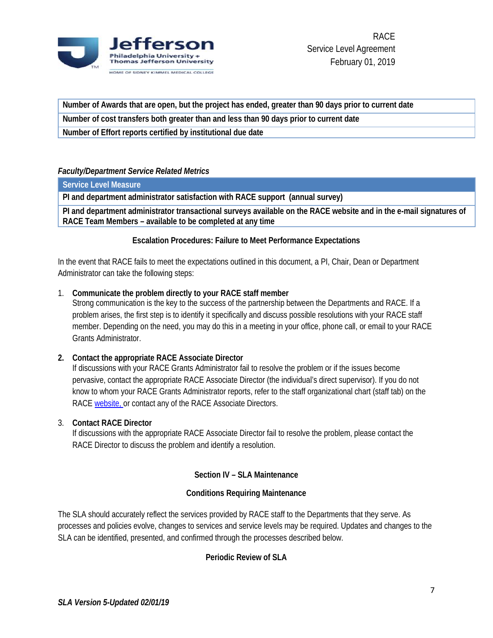

**Number of Awards that are open, but the project has ended, greater than 90 days prior to current date Number of cost transfers both greater than and less than 90 days prior to current date**

<span id="page-6-0"></span>**Number of Effort reports certified by institutional due date**

#### *Faculty/Department Service Related Metrics*

**Service Level Measure**

**PI and department administrator satisfaction with RACE support (annual survey)**

<span id="page-6-1"></span>**PI and department administrator transactional surveys available on the RACE website and in the e-mail signatures of RACE Team Members – available to be completed at any time**

#### **Escalation Procedures: Failure to Meet Performance Expectations**

In the event that RACE fails to meet the expectations outlined in this document, a PI, Chair, Dean or Department Administrator can take the following steps:

#### 1. **Communicate the problem directly to your RACE staff member**

Strong communication is the key to the success of the partnership between the Departments and RACE. If a problem arises, the first step is to identify it specifically and discuss possible resolutions with your RACE staff member. Depending on the need, you may do this in a meeting in your office, phone call, or email to your RACE Grants Administrator.

#### **2. Contact the appropriate RACE Associate Director**

If discussions with your RACE Grants Administrator fail to resolve the problem or if the issues become pervasive, contact the appropriate RACE Associate Director (the individual's direct supervisor). If you do not know to whom your RACE Grants Administrator reports, refer to the staff organizational chart (staff tab) on the RACE [website,](http://www.jefferson.edu/university/research/resources/sponsored-research/race.html) or contact any of the RACE Associate Directors.

#### 3. **Contact RACE Director**

If discussions with the appropriate RACE Associate Director fail to resolve the problem, please contact the RACE Director to discuss the problem and identify a resolution.

#### **Section IV – SLA Maintenance**

#### **Conditions Requiring Maintenance**

<span id="page-6-3"></span><span id="page-6-2"></span>The SLA should accurately reflect the services provided by RACE staff to the Departments that they serve. As processes and policies evolve, changes to services and service levels may be required. Updates and changes to the SLA can be identified, presented, and confirmed through the processes described below.

#### <span id="page-6-4"></span>**Periodic Review of SLA**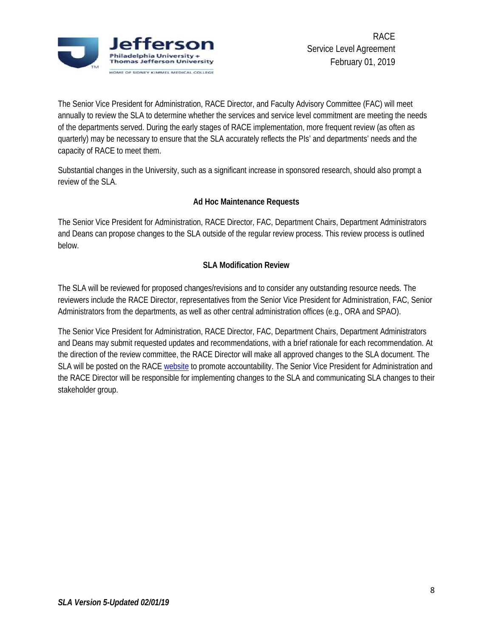

The Senior Vice President for Administration, RACE Director, and Faculty Advisory Committee (FAC) will meet annually to review the SLA to determine whether the services and service level commitment are meeting the needs of the departments served. During the early stages of RACE implementation, more frequent review (as often as quarterly) may be necessary to ensure that the SLA accurately reflects the PIs' and departments' needs and the capacity of RACE to meet them.

Substantial changes in the University, such as a significant increase in sponsored research, should also prompt a review of the SLA.

### **Ad Hoc Maintenance Requests**

<span id="page-7-0"></span>The Senior Vice President for Administration, RACE Director, FAC, Department Chairs, Department Administrators and Deans can propose changes to the SLA outside of the regular review process. This review process is outlined below.

#### **SLA Modification Review**

<span id="page-7-1"></span>The SLA will be reviewed for proposed changes/revisions and to consider any outstanding resource needs. The reviewers include the RACE Director, representatives from the Senior Vice President for Administration, FAC, Senior Administrators from the departments, as well as other central administration offices (e.g., ORA and SPAO).

The Senior Vice President for Administration, RACE Director, FAC, Department Chairs, Department Administrators and Deans may submit requested updates and recommendations, with a brief rationale for each recommendation. At the direction of the review committee, the RACE Director will make all approved changes to the SLA document. The SLA will be posted on the RACE [website](http://www.jefferson.edu/university/research/resources/sponsored-research/race.html) to promote accountability. The Senior Vice President for Administration and the RACE Director will be responsible for implementing changes to the SLA and communicating SLA changes to their stakeholder group.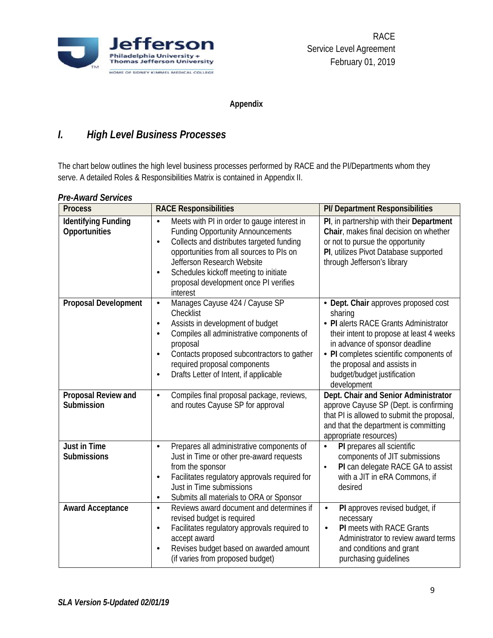

**Appendix**

# <span id="page-8-1"></span><span id="page-8-0"></span>*I. High Level Business Processes*

The chart below outlines the high level business processes performed by RACE and the PI/Departments whom they serve. A detailed Roles & Responsibilities Matrix is contained in Appendix II.

| <b>Process</b>                              | <b>RACE Responsibilities</b>                                                                                                                                                                                                                                                                                                           | PI/ Department Responsibilities                                                                                                                                                                                                                                                                |
|---------------------------------------------|----------------------------------------------------------------------------------------------------------------------------------------------------------------------------------------------------------------------------------------------------------------------------------------------------------------------------------------|------------------------------------------------------------------------------------------------------------------------------------------------------------------------------------------------------------------------------------------------------------------------------------------------|
| <b>Identifying Funding</b><br>Opportunities | Meets with PI in order to gauge interest in<br>$\bullet$<br><b>Funding Opportunity Announcements</b><br>Collects and distributes targeted funding<br>$\bullet$<br>opportunities from all sources to PIs on<br>Jefferson Research Website<br>Schedules kickoff meeting to initiate<br>proposal development once PI verifies<br>interest | PI, in partnership with their Department<br>Chair, makes final decision on whether<br>or not to pursue the opportunity<br>PI, utilizes Pivot Database supported<br>through Jefferson's library                                                                                                 |
| <b>Proposal Development</b>                 | Manages Cayuse 424 / Cayuse SP<br>$\bullet$<br>Checklist<br>Assists in development of budget<br>$\bullet$<br>Compiles all administrative components of<br>$\bullet$<br>proposal<br>Contacts proposed subcontractors to gather<br>$\bullet$<br>required proposal components<br>Drafts Letter of Intent, if applicable<br>$\bullet$      | • Dept. Chair approves proposed cost<br>sharing<br>• PI alerts RACE Grants Administrator<br>their intent to propose at least 4 weeks<br>in advance of sponsor deadline<br>• PI completes scientific components of<br>the proposal and assists in<br>budget/budget justification<br>development |
| Proposal Review and<br>Submission           | Compiles final proposal package, reviews,<br>$\bullet$<br>and routes Cayuse SP for approval                                                                                                                                                                                                                                            | Dept. Chair and Senior Administrator<br>approve Cayuse SP (Dept. is confirming<br>that PI is allowed to submit the proposal,<br>and that the department is committing<br>appropriate resources)                                                                                                |
| <b>Just in Time</b><br><b>Submissions</b>   | Prepares all administrative components of<br>$\bullet$<br>Just in Time or other pre-award requests<br>from the sponsor<br>Facilitates regulatory approvals required for<br>$\bullet$<br>Just in Time submissions<br>Submits all materials to ORA or Sponsor<br>$\bullet$                                                               | PI prepares all scientific<br>$\bullet$<br>components of JIT submissions<br>PI can delegate RACE GA to assist<br>$\bullet$<br>with a JIT in eRA Commons, if<br>desired                                                                                                                         |
| <b>Award Acceptance</b>                     | Reviews award document and determines if<br>$\bullet$<br>revised budget is required<br>Facilitates regulatory approvals required to<br>$\bullet$<br>accept award<br>Revises budget based on awarded amount<br>$\bullet$<br>(if varies from proposed budget)                                                                            | PI approves revised budget, if<br>$\bullet$<br>necessary<br><b>PI</b> meets with RACE Grants<br>$\bullet$<br>Administrator to review award terms<br>and conditions and grant<br>purchasing guidelines                                                                                          |

#### <span id="page-8-2"></span>*Pre-Award Services*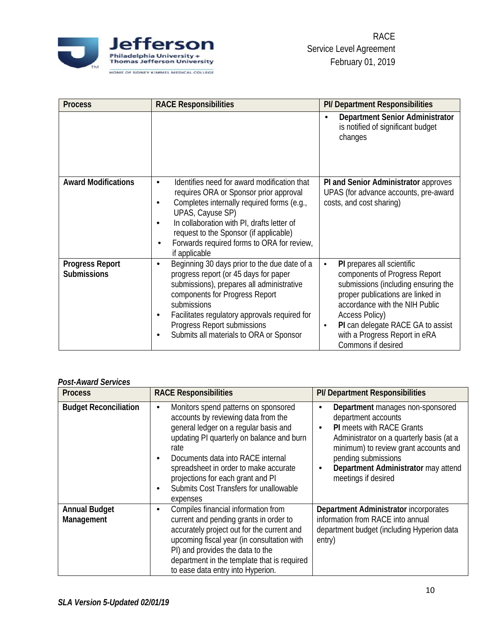

| <b>Process</b>                               | <b>RACE Responsibilities</b>                                                                                                                                                                                                                                                                                                             | <b>PI/ Department Responsibilities</b>                                                                                                                                                                                                                                                                            |
|----------------------------------------------|------------------------------------------------------------------------------------------------------------------------------------------------------------------------------------------------------------------------------------------------------------------------------------------------------------------------------------------|-------------------------------------------------------------------------------------------------------------------------------------------------------------------------------------------------------------------------------------------------------------------------------------------------------------------|
|                                              |                                                                                                                                                                                                                                                                                                                                          | Department Senior Administrator<br>is notified of significant budget<br>changes                                                                                                                                                                                                                                   |
| <b>Award Modifications</b>                   | Identifies need for award modification that<br>$\bullet$<br>requires ORA or Sponsor prior approval<br>Completes internally required forms (e.g.,<br>$\bullet$<br>UPAS, Cayuse SP)<br>In collaboration with PI, drafts letter of<br>request to the Sponsor (if applicable)<br>Forwards required forms to ORA for review,<br>if applicable | PI and Senior Administrator approves<br>UPAS (for advance accounts, pre-award<br>costs, and cost sharing)                                                                                                                                                                                                         |
| <b>Progress Report</b><br><b>Submissions</b> | Beginning 30 days prior to the due date of a<br>$\bullet$<br>progress report (or 45 days for paper<br>submissions), prepares all administrative<br>components for Progress Report<br>submissions<br>Facilitates regulatory approvals required for<br>٠<br>Progress Report submissions<br>Submits all materials to ORA or Sponsor<br>٠    | PI prepares all scientific<br>$\bullet$<br>components of Progress Report<br>submissions (including ensuring the<br>proper publications are linked in<br>accordance with the NIH Public<br>Access Policy)<br>PI can delegate RACE GA to assist<br>$\bullet$<br>with a Progress Report in eRA<br>Commons if desired |

#### <span id="page-9-0"></span>*Post-Award Services*

| <b>Process</b>                     | <b>RACE Responsibilities</b>                                                                                                                                                                                                                                                                                                                                         | PI/ Department Responsibilities                                                                                                                                                                                                                                                 |
|------------------------------------|----------------------------------------------------------------------------------------------------------------------------------------------------------------------------------------------------------------------------------------------------------------------------------------------------------------------------------------------------------------------|---------------------------------------------------------------------------------------------------------------------------------------------------------------------------------------------------------------------------------------------------------------------------------|
| <b>Budget Reconciliation</b>       | Monitors spend patterns on sponsored<br>٠<br>accounts by reviewing data from the<br>general ledger on a regular basis and<br>updating PI quarterly on balance and burn<br>rate<br>Documents data into RACE internal<br>$\bullet$<br>spreadsheet in order to make accurate<br>projections for each grant and PI<br>Submits Cost Transfers for unallowable<br>expenses | Department manages non-sponsored<br>department accounts<br><b>PI</b> meets with RACE Grants<br>٠<br>Administrator on a quarterly basis (at a<br>minimum) to review grant accounts and<br>pending submissions<br>Department Administrator may attend<br>٠<br>meetings if desired |
| <b>Annual Budget</b><br>Management | Compiles financial information from<br>٠<br>current and pending grants in order to<br>accurately project out for the current and<br>upcoming fiscal year (in consultation with<br>PI) and provides the data to the<br>department in the template that is required<br>to ease data entry into Hyperion.                                                               | Department Administrator incorporates<br>information from RACE into annual<br>department budget (including Hyperion data<br>entry)                                                                                                                                              |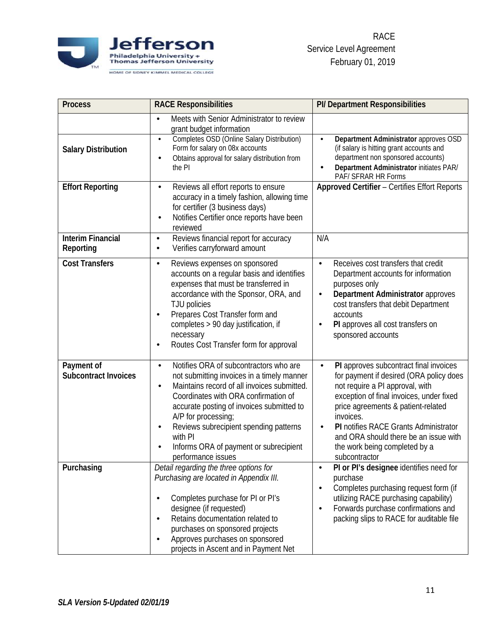

| <b>Process</b>                                      | <b>RACE Responsibilities</b>                                                                                                                                                                                                                                                                                                                                                                                             | PI/ Department Responsibilities                                                                                                                                                                                                                                                                                                                                      |
|-----------------------------------------------------|--------------------------------------------------------------------------------------------------------------------------------------------------------------------------------------------------------------------------------------------------------------------------------------------------------------------------------------------------------------------------------------------------------------------------|----------------------------------------------------------------------------------------------------------------------------------------------------------------------------------------------------------------------------------------------------------------------------------------------------------------------------------------------------------------------|
| <b>Salary Distribution</b>                          | Meets with Senior Administrator to review<br>$\bullet$<br>grant budget information<br>Completes OSD (Online Salary Distribution)<br>$\bullet$<br>Form for salary on 08x accounts<br>Obtains approval for salary distribution from<br>$\bullet$<br>the PI                                                                                                                                                                 | Department Administrator approves OSD<br>$\bullet$<br>(if salary is hitting grant accounts and<br>department non sponsored accounts)<br>Department Administrator initiates PAR/<br>PAF/ SFRAR HR Forms                                                                                                                                                               |
| <b>Effort Reporting</b><br><b>Interim Financial</b> | Reviews all effort reports to ensure<br>$\bullet$<br>accuracy in a timely fashion, allowing time<br>for certifier (3 business days)<br>Notifies Certifier once reports have been<br>$\bullet$<br>reviewed<br>Reviews financial report for accuracy<br>$\bullet$                                                                                                                                                          | Approved Certifier - Certifies Effort Reports<br>N/A                                                                                                                                                                                                                                                                                                                 |
| Reporting                                           | Verifies carryforward amount<br>$\bullet$                                                                                                                                                                                                                                                                                                                                                                                |                                                                                                                                                                                                                                                                                                                                                                      |
| <b>Cost Transfers</b>                               | Reviews expenses on sponsored<br>$\bullet$<br>accounts on a regular basis and identifies<br>expenses that must be transferred in<br>accordance with the Sponsor, ORA, and<br>TJU policies<br>Prepares Cost Transfer form and<br>$\bullet$<br>completes > 90 day justification, if<br>necessary<br>Routes Cost Transfer form for approval<br>٠                                                                            | Receives cost transfers that credit<br>$\bullet$<br>Department accounts for information<br>purposes only<br>Department Administrator approves<br>$\bullet$<br>cost transfers that debit Department<br>accounts<br>PI approves all cost transfers on<br>sponsored accounts                                                                                            |
| Payment of<br><b>Subcontract Invoices</b>           | Notifies ORA of subcontractors who are<br>$\bullet$<br>not submitting invoices in a timely manner<br>Maintains record of all invoices submitted.<br>$\bullet$<br>Coordinates with ORA confirmation of<br>accurate posting of invoices submitted to<br>A/P for processing;<br>Reviews subrecipient spending patterns<br>$\bullet$<br>with PI<br>Informs ORA of payment or subrecipient<br>$\bullet$<br>performance issues | PI approves subcontract final invoices<br>for payment if desired (ORA policy does<br>not require a PI approval, with<br>exception of final invoices, under fixed<br>price agreements & patient-related<br>invoices.<br>PI notifies RACE Grants Administrator<br>$\bullet$<br>and ORA should there be an issue with<br>the work being completed by a<br>subcontractor |
| Purchasing                                          | Detail regarding the three options for<br>Purchasing are located in Appendix III.<br>Completes purchase for PI or PI's<br>$\bullet$<br>designee (if requested)<br>Retains documentation related to<br>$\bullet$<br>purchases on sponsored projects<br>Approves purchases on sponsored<br>$\bullet$<br>projects in Ascent and in Payment Net                                                                              | PI or PI's designee identifies need for<br>purchase<br>Completes purchasing request form (if<br>$\bullet$<br>utilizing RACE purchasing capability)<br>Forwards purchase confirmations and<br>packing slips to RACE for auditable file                                                                                                                                |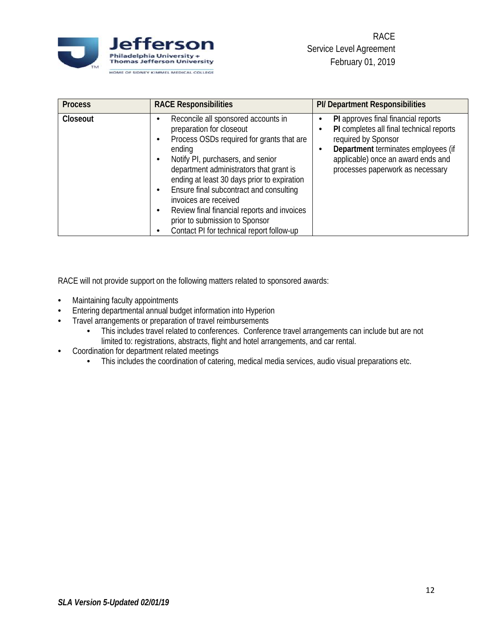

| <b>Process</b> | <b>RACE Responsibilities</b>                                                                                                                                                                                                                                                                                                                                                                                                                                                | PI/ Department Responsibilities                                                                                                                                                                                         |
|----------------|-----------------------------------------------------------------------------------------------------------------------------------------------------------------------------------------------------------------------------------------------------------------------------------------------------------------------------------------------------------------------------------------------------------------------------------------------------------------------------|-------------------------------------------------------------------------------------------------------------------------------------------------------------------------------------------------------------------------|
| Closeout       | Reconcile all sponsored accounts in<br>preparation for closeout<br>Process OSDs required for grants that are<br>٠<br>ending<br>Notify PI, purchasers, and senior<br>٠<br>department administrators that grant is<br>ending at least 30 days prior to expiration<br>Ensure final subcontract and consulting<br>٠<br>invoices are received<br>Review final financial reports and invoices<br>٠<br>prior to submission to Sponsor<br>Contact PI for technical report follow-up | PI approves final financial reports<br>PI completes all final technical reports<br>required by Sponsor<br>Department terminates employees (if<br>applicable) once an award ends and<br>processes paperwork as necessary |

RACE will not provide support on the following matters related to sponsored awards:

- Maintaining faculty appointments
- Entering departmental annual budget information into Hyperion
- Travel arrangements or preparation of travel reimbursements
	- This includes travel related to conferences. Conference travel arrangements can include but are not limited to: registrations, abstracts, flight and hotel arrangements, and car rental.
- Coordination for department related meetings
	- This includes the coordination of catering, medical media services, audio visual preparations etc.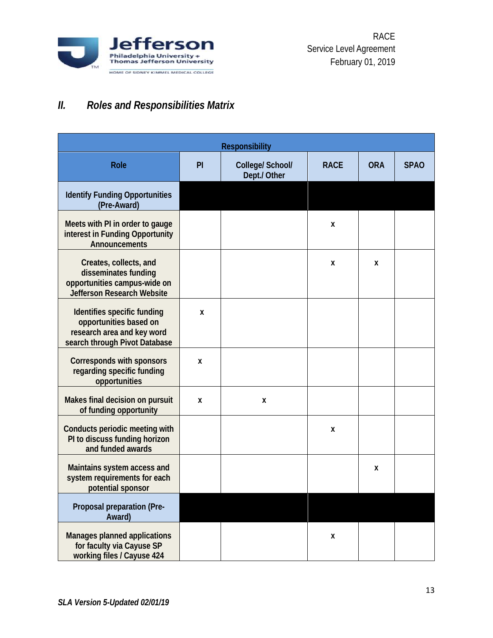

# <span id="page-12-0"></span>*II. Roles and Responsibilities Matrix*

| <b>Responsibility</b>                                                                                                |    |                                  |             |            |             |
|----------------------------------------------------------------------------------------------------------------------|----|----------------------------------|-------------|------------|-------------|
| <b>Role</b>                                                                                                          | PI | College/ School/<br>Dept./ Other | <b>RACE</b> | <b>ORA</b> | <b>SPAO</b> |
| <b>Identify Funding Opportunities</b><br>(Pre-Award)                                                                 |    |                                  |             |            |             |
| Meets with PI in order to gauge<br>interest in Funding Opportunity<br>Announcements                                  |    |                                  | X           |            |             |
| Creates, collects, and<br>disseminates funding<br>opportunities campus-wide on<br><b>Jefferson Research Website</b>  |    |                                  | X           | X          |             |
| Identifies specific funding<br>opportunities based on<br>research area and key word<br>search through Pivot Database | X  |                                  |             |            |             |
| Corresponds with sponsors<br>regarding specific funding<br>opportunities                                             | X  |                                  |             |            |             |
| Makes final decision on pursuit<br>of funding opportunity                                                            | X  | X                                |             |            |             |
| Conducts periodic meeting with<br>PI to discuss funding horizon<br>and funded awards                                 |    |                                  | X           |            |             |
| Maintains system access and<br>system requirements for each<br>potential sponsor                                     |    |                                  |             | x          |             |
| Proposal preparation (Pre-<br>Award)                                                                                 |    |                                  |             |            |             |
| Manages planned applications<br>for faculty via Cayuse SP<br>working files / Cayuse 424                              |    |                                  | X           |            |             |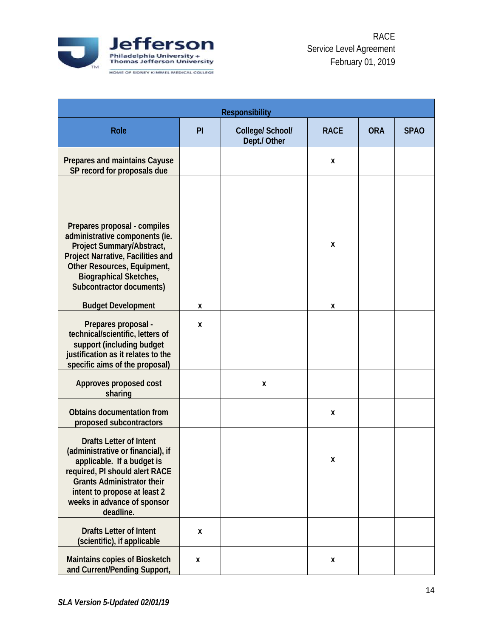

|                                                                                                                                                                                                                                                      | <b>Responsibility</b> |                                  |             |            |             |  |
|------------------------------------------------------------------------------------------------------------------------------------------------------------------------------------------------------------------------------------------------------|-----------------------|----------------------------------|-------------|------------|-------------|--|
| Role                                                                                                                                                                                                                                                 | PI                    | College/ School/<br>Dept./ Other | <b>RACE</b> | <b>ORA</b> | <b>SPAO</b> |  |
| Prepares and maintains Cayuse<br>SP record for proposals due                                                                                                                                                                                         |                       |                                  | X           |            |             |  |
| Prepares proposal - compiles<br>administrative components (ie.<br>Project Summary/Abstract,<br>Project Narrative, Facilities and<br>Other Resources, Equipment,<br><b>Biographical Sketches,</b><br><b>Subcontractor documents)</b>                  |                       |                                  | X           |            |             |  |
| <b>Budget Development</b>                                                                                                                                                                                                                            | X                     |                                  | X           |            |             |  |
| Prepares proposal -<br>technical/scientific, letters of<br>support (including budget<br>justification as it relates to the<br>specific aims of the proposal)                                                                                         | X                     |                                  |             |            |             |  |
| Approves proposed cost<br>sharing                                                                                                                                                                                                                    |                       | X                                |             |            |             |  |
| <b>Obtains documentation from</b><br>proposed subcontractors                                                                                                                                                                                         |                       |                                  | X           |            |             |  |
| <b>Drafts Letter of Intent</b><br>(administrative or financial), if<br>applicable. If a budget is<br>required, PI should alert RACE<br><b>Grants Administrator their</b><br>intent to propose at least 2<br>weeks in advance of sponsor<br>deadline. |                       |                                  | X           |            |             |  |
| <b>Drafts Letter of Intent</b><br>(scientific), if applicable                                                                                                                                                                                        | X                     |                                  |             |            |             |  |
| Maintains copies of Biosketch<br>and Current/Pending Support,                                                                                                                                                                                        | X                     |                                  | X           |            |             |  |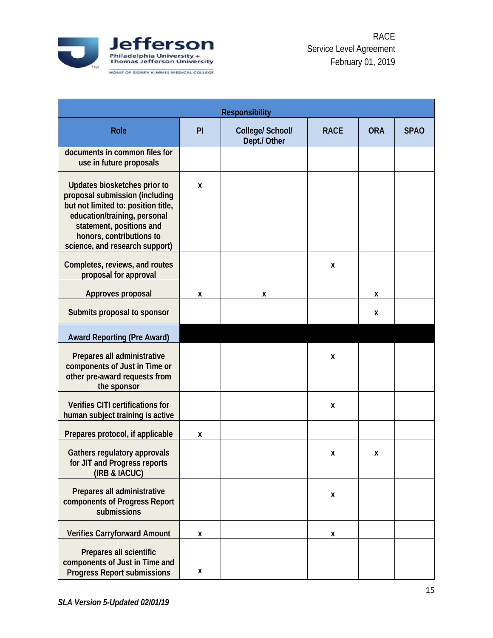

|                                                                                                                                                                                                                                 | <b>Responsibility</b> |                                  |             |            |             |  |
|---------------------------------------------------------------------------------------------------------------------------------------------------------------------------------------------------------------------------------|-----------------------|----------------------------------|-------------|------------|-------------|--|
| <b>Role</b>                                                                                                                                                                                                                     | PI                    | College/ School/<br>Dept./ Other | <b>RACE</b> | <b>ORA</b> | <b>SPAO</b> |  |
| documents in common files for<br>use in future proposals                                                                                                                                                                        |                       |                                  |             |            |             |  |
| Updates biosketches prior to<br>proposal submission (including<br>but not limited to: position title,<br>education/training, personal<br>statement, positions and<br>honors, contributions to<br>science, and research support) | X                     |                                  |             |            |             |  |
| Completes, reviews, and routes<br>proposal for approval                                                                                                                                                                         |                       |                                  | X           |            |             |  |
| Approves proposal                                                                                                                                                                                                               | X                     | X                                |             | X          |             |  |
| Submits proposal to sponsor                                                                                                                                                                                                     |                       |                                  |             | X          |             |  |
| <b>Award Reporting (Pre Award)</b>                                                                                                                                                                                              |                       |                                  |             |            |             |  |
| Prepares all administrative<br>components of Just in Time or<br>other pre-award requests from<br>the sponsor                                                                                                                    |                       |                                  | X           |            |             |  |
| Verifies CITI certifications for<br>human subject training is active                                                                                                                                                            |                       |                                  | X           |            |             |  |
| Prepares protocol, if applicable                                                                                                                                                                                                | X                     |                                  |             |            |             |  |
| Gathers regulatory approvals<br>for JIT and Progress reports<br>(IRB & IACUC)                                                                                                                                                   |                       |                                  | X           | X          |             |  |
| Prepares all administrative<br>components of Progress Report<br>submissions                                                                                                                                                     |                       |                                  | X           |            |             |  |
| <b>Verifies Carryforward Amount</b>                                                                                                                                                                                             | X                     |                                  | Χ           |            |             |  |
| Prepares all scientific<br>components of Just in Time and<br><b>Progress Report submissions</b>                                                                                                                                 | X                     |                                  |             |            |             |  |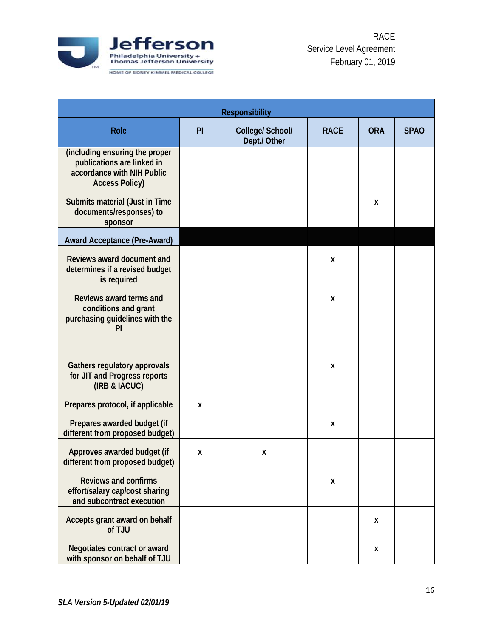

|                                                                                                                     |    | <b>Responsibility</b>            |             |            |             |
|---------------------------------------------------------------------------------------------------------------------|----|----------------------------------|-------------|------------|-------------|
| Role                                                                                                                | PI | College/ School/<br>Dept./ Other | <b>RACE</b> | <b>ORA</b> | <b>SPAO</b> |
| (including ensuring the proper<br>publications are linked in<br>accordance with NIH Public<br><b>Access Policy)</b> |    |                                  |             |            |             |
| Submits material (Just in Time<br>documents/responses) to<br>sponsor                                                |    |                                  |             | X          |             |
| <b>Award Acceptance (Pre-Award)</b>                                                                                 |    |                                  |             |            |             |
| Reviews award document and<br>determines if a revised budget<br>is required                                         |    |                                  | X           |            |             |
| Reviews award terms and<br>conditions and grant<br>purchasing guidelines with the<br>PI                             |    |                                  | Χ           |            |             |
| Gathers regulatory approvals<br>for JIT and Progress reports<br>(IRB & IACUC)                                       |    |                                  | Χ           |            |             |
| Prepares protocol, if applicable                                                                                    | Χ  |                                  |             |            |             |
| Prepares awarded budget (if<br>different from proposed budget)                                                      |    |                                  | X           |            |             |
| Approves awarded budget (if<br>different from proposed budget)                                                      | X  | X                                |             |            |             |
| <b>Reviews and confirms</b><br>effort/salary cap/cost sharing<br>and subcontract execution                          |    |                                  | X           |            |             |
| Accepts grant award on behalf<br>of TJU                                                                             |    |                                  |             | X          |             |
| Negotiates contract or award<br>with sponsor on behalf of TJU                                                       |    |                                  |             | X          |             |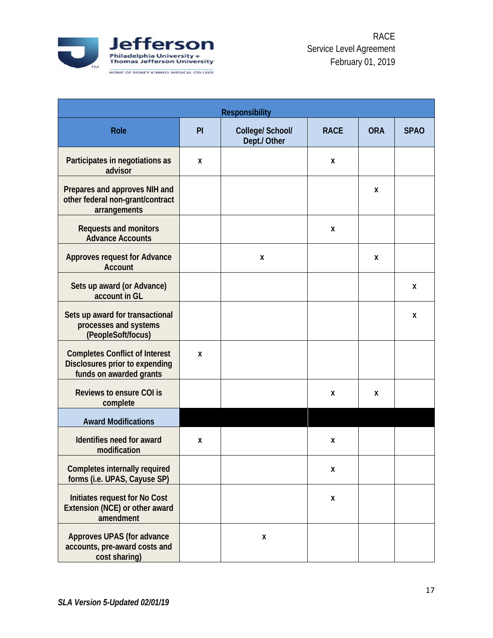

| <b>Responsibility</b>                                                                              |    |                                  |                    |            |             |
|----------------------------------------------------------------------------------------------------|----|----------------------------------|--------------------|------------|-------------|
| <b>Role</b>                                                                                        | PI | College/ School/<br>Dept./ Other | <b>RACE</b>        | <b>ORA</b> | <b>SPAO</b> |
| Participates in negotiations as<br>advisor                                                         | X  |                                  | X                  |            |             |
| Prepares and approves NIH and<br>other federal non-grant/contract<br>arrangements                  |    |                                  |                    | X          |             |
| <b>Requests and monitors</b><br><b>Advance Accounts</b>                                            |    |                                  | X                  |            |             |
| <b>Approves request for Advance</b><br><b>Account</b>                                              |    | X                                |                    | X          |             |
| Sets up award (or Advance)<br>account in GL                                                        |    |                                  |                    |            | X           |
| Sets up award for transactional<br>processes and systems<br>(PeopleSoft/focus)                     |    |                                  |                    |            | X           |
| <b>Completes Conflict of Interest</b><br>Disclosures prior to expending<br>funds on awarded grants | X  |                                  |                    |            |             |
| <b>Reviews to ensure COI is</b><br>complete                                                        |    |                                  | X                  | x          |             |
| <b>Award Modifications</b>                                                                         |    |                                  |                    |            |             |
| Identifies need for award<br>modification                                                          | Χ  |                                  | X                  |            |             |
| <b>Completes internally required</b><br>forms (i.e. UPAS, Cayuse SP)                               |    |                                  | $\pmb{\mathsf{X}}$ |            |             |
| Initiates request for No Cost<br>Extension (NCE) or other award<br>amendment                       |    |                                  | $\pmb{\mathsf{X}}$ |            |             |
| Approves UPAS (for advance<br>accounts, pre-award costs and<br>cost sharing)                       |    | X                                |                    |            |             |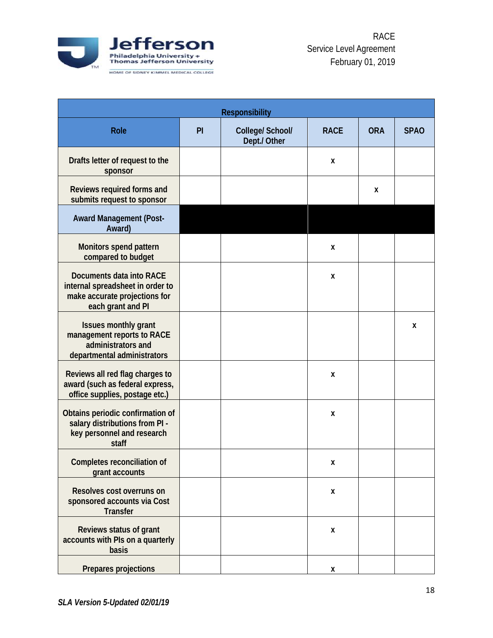

| <b>Responsibility</b>                                                                                              |    |                                  |             |            |             |
|--------------------------------------------------------------------------------------------------------------------|----|----------------------------------|-------------|------------|-------------|
| <b>Role</b>                                                                                                        | PI | College/ School/<br>Dept./ Other | <b>RACE</b> | <b>ORA</b> | <b>SPAO</b> |
| Drafts letter of request to the<br>sponsor                                                                         |    |                                  | X           |            |             |
| Reviews required forms and<br>submits request to sponsor                                                           |    |                                  |             | X          |             |
| <b>Award Management (Post-</b><br>Award)                                                                           |    |                                  |             |            |             |
| Monitors spend pattern<br>compared to budget                                                                       |    |                                  | X           |            |             |
| Documents data into RACE<br>internal spreadsheet in order to<br>make accurate projections for<br>each grant and PI |    |                                  | X           |            |             |
| <b>Issues monthly grant</b><br>management reports to RACE<br>administrators and<br>departmental administrators     |    |                                  |             |            | X           |
| Reviews all red flag charges to<br>award (such as federal express,<br>office supplies, postage etc.)               |    |                                  | X           |            |             |
| Obtains periodic confirmation of<br>salary distributions from PI -<br>key personnel and research<br>staff          |    |                                  | X           |            |             |
| Completes reconciliation of<br>grant accounts                                                                      |    |                                  | χ           |            |             |
| Resolves cost overruns on<br>sponsored accounts via Cost<br><b>Transfer</b>                                        |    |                                  | X           |            |             |
| Reviews status of grant<br>accounts with PIs on a quarterly<br>basis                                               |    |                                  | X           |            |             |
| Prepares projections                                                                                               |    |                                  | X           |            |             |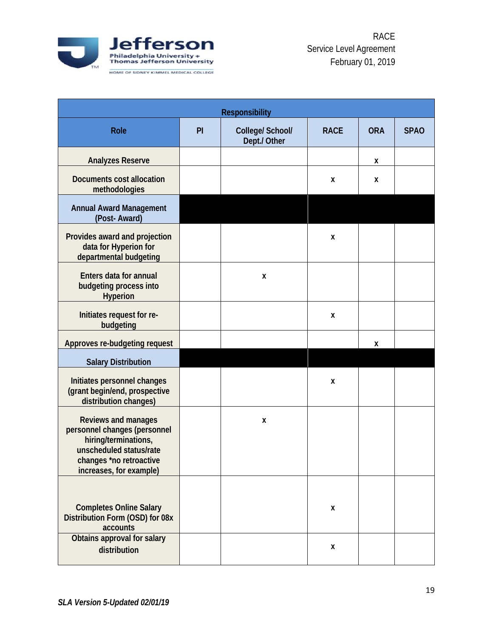

| <b>Responsibility</b>                                                                                                                                        |    |                                  |             |            |             |  |
|--------------------------------------------------------------------------------------------------------------------------------------------------------------|----|----------------------------------|-------------|------------|-------------|--|
| <b>Role</b>                                                                                                                                                  | PI | College/ School/<br>Dept./ Other | <b>RACE</b> | <b>ORA</b> | <b>SPAO</b> |  |
| <b>Analyzes Reserve</b>                                                                                                                                      |    |                                  |             | X          |             |  |
| <b>Documents cost allocation</b><br>methodologies                                                                                                            |    |                                  | X           | X          |             |  |
| <b>Annual Award Management</b><br>(Post-Award)                                                                                                               |    |                                  |             |            |             |  |
| Provides award and projection<br>data for Hyperion for<br>departmental budgeting                                                                             |    |                                  | X           |            |             |  |
| <b>Enters data for annual</b><br>budgeting process into<br><b>Hyperion</b>                                                                                   |    | X                                |             |            |             |  |
| Initiates request for re-<br>budgeting                                                                                                                       |    |                                  | X           |            |             |  |
| Approves re-budgeting request                                                                                                                                |    |                                  |             | X          |             |  |
| <b>Salary Distribution</b>                                                                                                                                   |    |                                  |             |            |             |  |
| Initiates personnel changes<br>(grant begin/end, prospective<br>distribution changes)                                                                        |    |                                  | X           |            |             |  |
| Reviews and manages<br>personnel changes (personnel<br>hiring/terminations,<br>unscheduled status/rate<br>changes *no retroactive<br>increases, for example) |    | X                                |             |            |             |  |
| <b>Completes Online Salary</b><br>Distribution Form (OSD) for 08x<br>accounts                                                                                |    |                                  | X           |            |             |  |
| Obtains approval for salary<br>distribution                                                                                                                  |    |                                  | X           |            |             |  |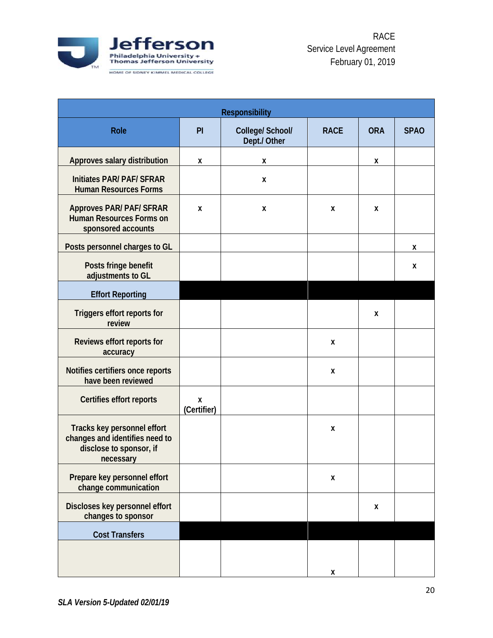

|                                                                                                       | <b>Responsibility</b> |                                  |             |            |             |  |  |
|-------------------------------------------------------------------------------------------------------|-----------------------|----------------------------------|-------------|------------|-------------|--|--|
| <b>Role</b>                                                                                           | PI                    | College/ School/<br>Dept./ Other | <b>RACE</b> | <b>ORA</b> | <b>SPAO</b> |  |  |
| Approves salary distribution                                                                          | X                     | X                                |             | X          |             |  |  |
| <b>Initiates PAR/ PAF/ SFRAR</b><br><b>Human Resources Forms</b>                                      |                       | X                                |             |            |             |  |  |
| <b>Approves PAR/ PAF/ SFRAR</b><br><b>Human Resources Forms on</b><br>sponsored accounts              | X                     | X                                | X           | X          |             |  |  |
| Posts personnel charges to GL                                                                         |                       |                                  |             |            | X           |  |  |
| Posts fringe benefit<br>adjustments to GL                                                             |                       |                                  |             |            | X           |  |  |
| <b>Effort Reporting</b>                                                                               |                       |                                  |             |            |             |  |  |
| Triggers effort reports for<br>review                                                                 |                       |                                  |             | X          |             |  |  |
| Reviews effort reports for<br>accuracy                                                                |                       |                                  | X           |            |             |  |  |
| Notifies certifiers once reports<br>have been reviewed                                                |                       |                                  | X           |            |             |  |  |
| Certifies effort reports                                                                              | X<br>(Certifier)      |                                  |             |            |             |  |  |
| Tracks key personnel effort<br>changes and identifies need to<br>disclose to sponsor, if<br>necessary |                       |                                  | X           |            |             |  |  |
| Prepare key personnel effort<br>change communication                                                  |                       |                                  | X           |            |             |  |  |
| Discloses key personnel effort<br>changes to sponsor                                                  |                       |                                  |             | X          |             |  |  |
| <b>Cost Transfers</b>                                                                                 |                       |                                  |             |            |             |  |  |
|                                                                                                       |                       |                                  | X           |            |             |  |  |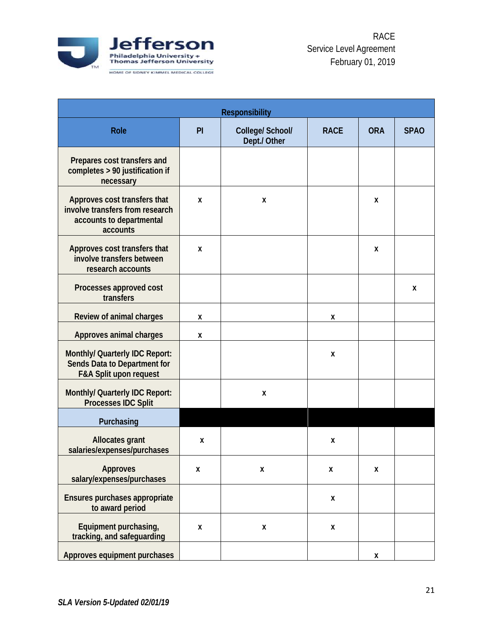

| <b>Responsibility</b>                                                                                   |    |                                  |             |            |             |  |
|---------------------------------------------------------------------------------------------------------|----|----------------------------------|-------------|------------|-------------|--|
| Role                                                                                                    | PI | College/ School/<br>Dept./ Other | <b>RACE</b> | <b>ORA</b> | <b>SPAO</b> |  |
| Prepares cost transfers and<br>completes > 90 justification if<br>necessary                             |    |                                  |             |            |             |  |
| Approves cost transfers that<br>involve transfers from research<br>accounts to departmental<br>accounts | Χ  | X                                |             | X          |             |  |
| Approves cost transfers that<br>involve transfers between<br>research accounts                          | X  |                                  |             | X          |             |  |
| Processes approved cost<br>transfers                                                                    |    |                                  |             |            | X           |  |
| Review of animal charges                                                                                | Χ  |                                  | X           |            |             |  |
| Approves animal charges                                                                                 | X  |                                  |             |            |             |  |
| Monthly/ Quarterly IDC Report:<br>Sends Data to Department for<br><b>F&amp;A Split upon request</b>     |    |                                  | X           |            |             |  |
| Monthly/ Quarterly IDC Report:<br><b>Processes IDC Split</b>                                            |    | X                                |             |            |             |  |
| Purchasing                                                                                              |    |                                  |             |            |             |  |
| <b>Allocates grant</b><br>salaries/expenses/purchases                                                   | X  |                                  | X           |            |             |  |
| <b>Approves</b><br>salary/expenses/purchases                                                            | X  | X                                | X           | Χ          |             |  |
| Ensures purchases appropriate<br>to award period                                                        |    |                                  | X           |            |             |  |
| Equipment purchasing,<br>tracking, and safeguarding                                                     | Χ  | X                                | X           |            |             |  |
| Approves equipment purchases                                                                            |    |                                  |             | X          |             |  |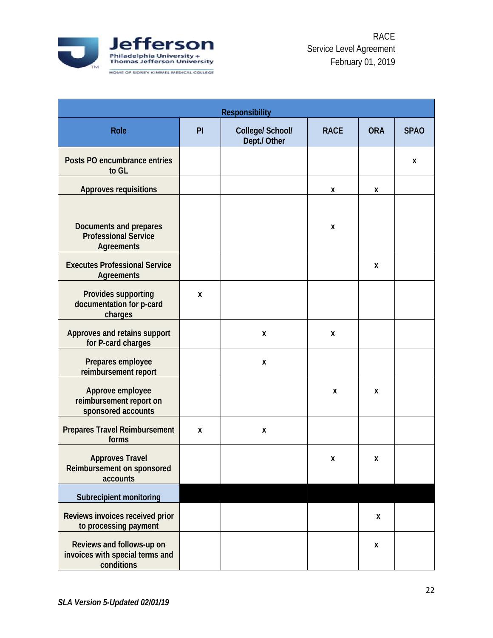

| <b>Responsibility</b>                                                      |    |                                  |             |            |             |  |
|----------------------------------------------------------------------------|----|----------------------------------|-------------|------------|-------------|--|
| Role                                                                       | PI | College/ School/<br>Dept./ Other | <b>RACE</b> | <b>ORA</b> | <b>SPAO</b> |  |
| Posts PO encumbrance entries<br>to GL                                      |    |                                  |             |            | X           |  |
| <b>Approves requisitions</b>                                               |    |                                  | X           | X          |             |  |
| Documents and prepares<br><b>Professional Service</b><br><b>Agreements</b> |    |                                  | X           |            |             |  |
| <b>Executes Professional Service</b><br>Agreements                         |    |                                  |             | X          |             |  |
| Provides supporting<br>documentation for p-card<br>charges                 | X  |                                  |             |            |             |  |
| Approves and retains support<br>for P-card charges                         |    | Χ                                | X           |            |             |  |
| Prepares employee<br>reimbursement report                                  |    | Χ                                |             |            |             |  |
| Approve employee<br>reimbursement report on<br>sponsored accounts          |    |                                  | X           | X          |             |  |
| <b>Prepares Travel Reimbursement</b><br>forms                              | X  | X                                |             |            |             |  |
| <b>Approves Travel</b><br>Reimbursement on sponsored<br>accounts           |    |                                  | X           | X          |             |  |
| Subrecipient monitoring                                                    |    |                                  |             |            |             |  |
| Reviews invoices received prior<br>to processing payment                   |    |                                  |             | X          |             |  |
| Reviews and follows-up on<br>invoices with special terms and<br>conditions |    |                                  |             | X          |             |  |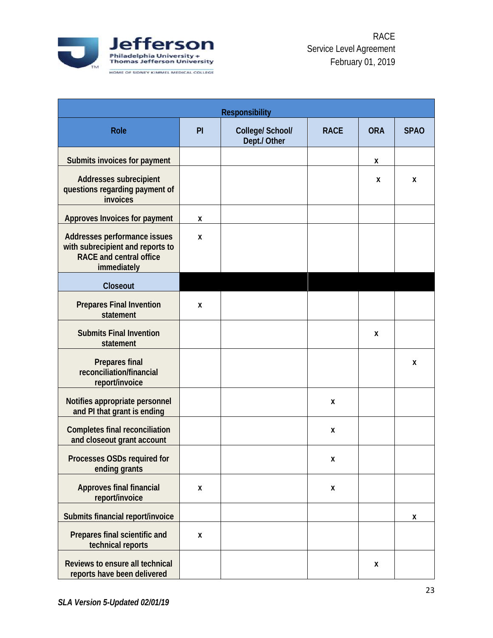

| <b>Responsibility</b>                                                                                             |    |                                  |             |            |             |  |
|-------------------------------------------------------------------------------------------------------------------|----|----------------------------------|-------------|------------|-------------|--|
| <b>Role</b>                                                                                                       | PI | College/ School/<br>Dept./ Other | <b>RACE</b> | <b>ORA</b> | <b>SPAO</b> |  |
| Submits invoices for payment                                                                                      |    |                                  |             | X          |             |  |
| Addresses subrecipient<br>questions regarding payment of<br>invoices                                              |    |                                  |             | X          | X           |  |
| Approves Invoices for payment                                                                                     | X  |                                  |             |            |             |  |
| Addresses performance issues<br>with subrecipient and reports to<br><b>RACE</b> and central office<br>immediately | X  |                                  |             |            |             |  |
| Closeout                                                                                                          |    |                                  |             |            |             |  |
| <b>Prepares Final Invention</b><br>statement                                                                      | X  |                                  |             |            |             |  |
| <b>Submits Final Invention</b><br>statement                                                                       |    |                                  |             | X          |             |  |
| <b>Prepares final</b><br>reconciliation/financial<br>report/invoice                                               |    |                                  |             |            | X           |  |
| Notifies appropriate personnel<br>and PI that grant is ending                                                     |    |                                  | Χ           |            |             |  |
| <b>Completes final reconciliation</b><br>and closeout grant account                                               |    |                                  | X           |            |             |  |
| Processes OSDs required for<br>ending grants                                                                      |    |                                  | X           |            |             |  |
| <b>Approves final financial</b><br>report/invoice                                                                 | X  |                                  | X           |            |             |  |
| Submits financial report/invoice                                                                                  |    |                                  |             |            | X           |  |
| Prepares final scientific and<br>technical reports                                                                | X  |                                  |             |            |             |  |
| Reviews to ensure all technical<br>reports have been delivered                                                    |    |                                  |             | X          |             |  |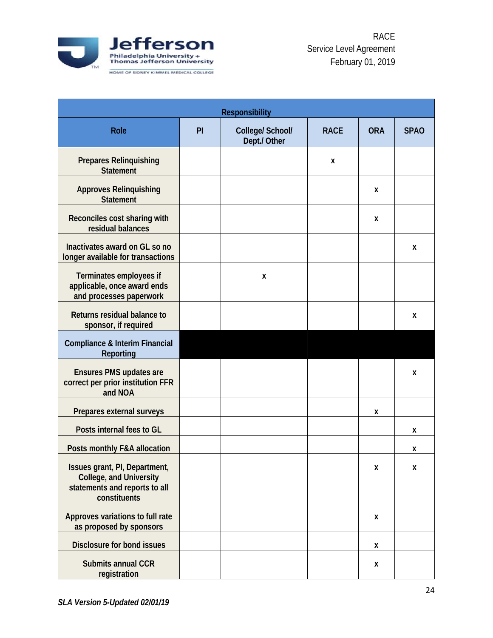

| <b>Responsibility</b>                                                                                            |    |                                  |             |            |             |  |
|------------------------------------------------------------------------------------------------------------------|----|----------------------------------|-------------|------------|-------------|--|
| Role                                                                                                             | PI | College/ School/<br>Dept./ Other | <b>RACE</b> | <b>ORA</b> | <b>SPAO</b> |  |
| <b>Prepares Relinquishing</b><br><b>Statement</b>                                                                |    |                                  | X           |            |             |  |
| <b>Approves Relinquishing</b><br><b>Statement</b>                                                                |    |                                  |             | X          |             |  |
| Reconciles cost sharing with<br>residual balances                                                                |    |                                  |             | X          |             |  |
| Inactivates award on GL so no<br>longer available for transactions                                               |    |                                  |             |            | X           |  |
| Terminates employees if<br>applicable, once award ends<br>and processes paperwork                                |    | X                                |             |            |             |  |
| Returns residual balance to<br>sponsor, if required                                                              |    |                                  |             |            | X           |  |
| <b>Compliance &amp; Interim Financial</b><br>Reporting                                                           |    |                                  |             |            |             |  |
| <b>Ensures PMS updates are</b><br>correct per prior institution FFR<br>and NOA                                   |    |                                  |             |            | X           |  |
| Prepares external surveys                                                                                        |    |                                  |             | X          |             |  |
| Posts internal fees to GL                                                                                        |    |                                  |             |            | X           |  |
| Posts monthly F&A allocation                                                                                     |    |                                  |             |            | X           |  |
| Issues grant, PI, Department,<br><b>College, and University</b><br>statements and reports to all<br>constituents |    |                                  |             | X          | X           |  |
| Approves variations to full rate<br>as proposed by sponsors                                                      |    |                                  |             | X          |             |  |
| Disclosure for bond issues                                                                                       |    |                                  |             | X          |             |  |
| <b>Submits annual CCR</b><br>registration                                                                        |    |                                  |             | X          |             |  |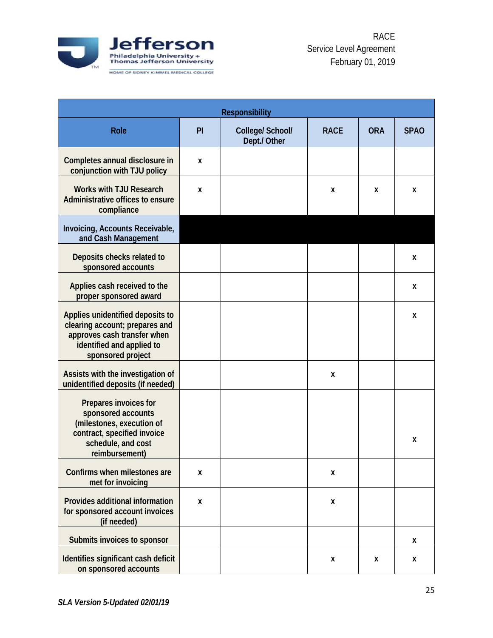

| <b>Responsibility</b>                                                                                                                               |    |                                  |             |            |             |  |
|-----------------------------------------------------------------------------------------------------------------------------------------------------|----|----------------------------------|-------------|------------|-------------|--|
| <b>Role</b>                                                                                                                                         | PI | College/ School/<br>Dept./ Other | <b>RACE</b> | <b>ORA</b> | <b>SPAO</b> |  |
| Completes annual disclosure in<br>conjunction with TJU policy                                                                                       | X  |                                  |             |            |             |  |
| <b>Works with TJU Research</b><br>Administrative offices to ensure<br>compliance                                                                    | X  |                                  | X           | X          | X           |  |
| Invoicing, Accounts Receivable,<br>and Cash Management                                                                                              |    |                                  |             |            |             |  |
| Deposits checks related to<br>sponsored accounts                                                                                                    |    |                                  |             |            | X           |  |
| Applies cash received to the<br>proper sponsored award                                                                                              |    |                                  |             |            | X           |  |
| Applies unidentified deposits to<br>clearing account; prepares and<br>approves cash transfer when<br>identified and applied to<br>sponsored project |    |                                  |             |            | X           |  |
| Assists with the investigation of<br>unidentified deposits (if needed)                                                                              |    |                                  | X           |            |             |  |
| Prepares invoices for<br>sponsored accounts<br>(milestones, execution of<br>contract, specified invoice<br>schedule, and cost<br>reimbursement)     |    |                                  |             |            | X           |  |
| Confirms when milestones are<br>met for invoicing                                                                                                   | X  |                                  | X           |            |             |  |
| Provides additional information<br>for sponsored account invoices<br>(if needed)                                                                    | X  |                                  | X           |            |             |  |
| Submits invoices to sponsor                                                                                                                         |    |                                  |             |            | X           |  |
| Identifies significant cash deficit<br>on sponsored accounts                                                                                        |    |                                  | X           | X          | X           |  |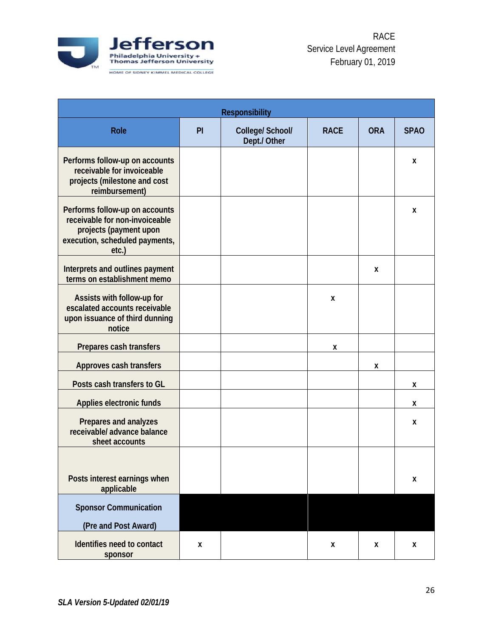

| <b>Responsibility</b>                                                                                                                    |    |                                  |             |            |             |  |  |
|------------------------------------------------------------------------------------------------------------------------------------------|----|----------------------------------|-------------|------------|-------------|--|--|
| <b>Role</b>                                                                                                                              | PI | College/ School/<br>Dept./ Other | <b>RACE</b> | <b>ORA</b> | <b>SPAO</b> |  |  |
| Performs follow-up on accounts<br>receivable for invoiceable<br>projects (milestone and cost<br>reimbursement)                           |    |                                  |             |            | X           |  |  |
| Performs follow-up on accounts<br>receivable for non-invoiceable<br>projects (payment upon<br>execution, scheduled payments,<br>$etc.$ ) |    |                                  |             |            | X           |  |  |
| Interprets and outlines payment<br>terms on establishment memo                                                                           |    |                                  |             | X          |             |  |  |
| Assists with follow-up for<br>escalated accounts receivable<br>upon issuance of third dunning<br>notice                                  |    |                                  | X           |            |             |  |  |
| Prepares cash transfers                                                                                                                  |    |                                  | X           |            |             |  |  |
| Approves cash transfers                                                                                                                  |    |                                  |             | X          |             |  |  |
| Posts cash transfers to GL                                                                                                               |    |                                  |             |            | X           |  |  |
| Applies electronic funds                                                                                                                 |    |                                  |             |            | X           |  |  |
| Prepares and analyzes<br>receivable/ advance balance<br>sheet accounts                                                                   |    |                                  |             |            | X           |  |  |
| Posts interest earnings when<br>applicable                                                                                               |    |                                  |             |            | X           |  |  |
| <b>Sponsor Communication</b><br>(Pre and Post Award)                                                                                     |    |                                  |             |            |             |  |  |
| Identifies need to contact<br>sponsor                                                                                                    | X  |                                  | X           | X          | X           |  |  |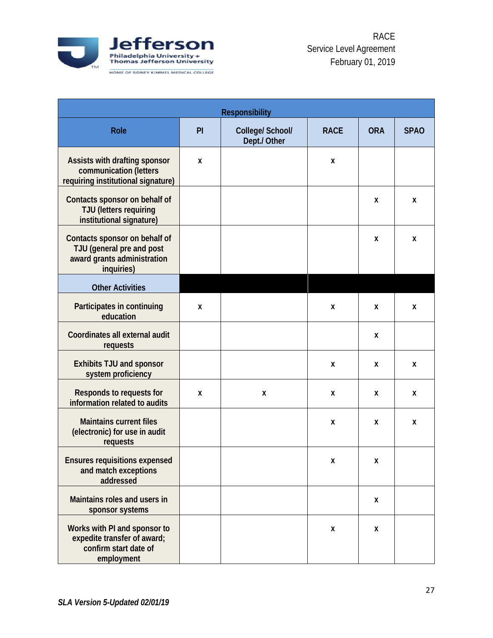

| <b>Responsibility</b>                                                                                   |    |                                  |             |            |             |  |
|---------------------------------------------------------------------------------------------------------|----|----------------------------------|-------------|------------|-------------|--|
| <b>Role</b>                                                                                             | PI | College/ School/<br>Dept./ Other | <b>RACE</b> | <b>ORA</b> | <b>SPAO</b> |  |
| Assists with drafting sponsor<br>communication (letters<br>requiring institutional signature)           | X  |                                  | X           |            |             |  |
| Contacts sponsor on behalf of<br><b>TJU</b> (letters requiring<br>institutional signature)              |    |                                  |             | X          | X           |  |
| Contacts sponsor on behalf of<br>TJU (general pre and post<br>award grants administration<br>inquiries) |    |                                  |             | X          | X           |  |
| <b>Other Activities</b>                                                                                 |    |                                  |             |            |             |  |
| Participates in continuing<br>education                                                                 | X  |                                  | X           | X          | X           |  |
| Coordinates all external audit<br>requests                                                              |    |                                  |             | X          |             |  |
| <b>Exhibits TJU and sponsor</b><br>system proficiency                                                   |    |                                  | X           | X          | X           |  |
| Responds to requests for<br>information related to audits                                               | X  | X                                | X           | X          | X           |  |
| <b>Maintains current files</b><br>(electronic) for use in audit<br>requests                             |    |                                  | X           | X          | X           |  |
| <b>Ensures requisitions expensed</b><br>and match exceptions<br>addressed                               |    |                                  | X           | X          |             |  |
| Maintains roles and users in<br>sponsor systems                                                         |    |                                  |             | X          |             |  |
| Works with PI and sponsor to<br>expedite transfer of award;<br>confirm start date of<br>employment      |    |                                  | X           | X          |             |  |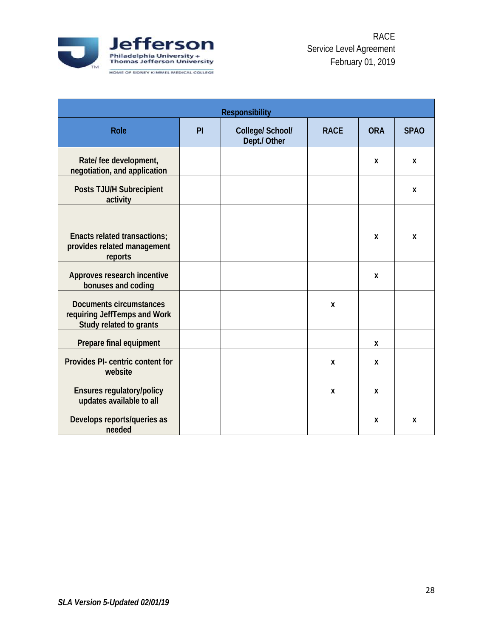

<span id="page-27-0"></span>

|                                                                                           | <b>Responsibility</b> |                                  |              |              |             |  |  |
|-------------------------------------------------------------------------------------------|-----------------------|----------------------------------|--------------|--------------|-------------|--|--|
| <b>Role</b>                                                                               | PI                    | College/ School/<br>Dept./ Other | <b>RACE</b>  | <b>ORA</b>   | <b>SPAO</b> |  |  |
| Rate/ fee development,<br>negotiation, and application                                    |                       |                                  |              | X            | X           |  |  |
| Posts TJU/H Subrecipient<br>activity                                                      |                       |                                  |              |              | X           |  |  |
| Enacts related transactions;<br>provides related management<br>reports                    |                       |                                  |              | X            | X           |  |  |
| Approves research incentive<br>bonuses and coding                                         |                       |                                  |              | X            |             |  |  |
| <b>Documents circumstances</b><br>requiring JeffTemps and Work<br>Study related to grants |                       |                                  | X            |              |             |  |  |
| Prepare final equipment                                                                   |                       |                                  |              | X            |             |  |  |
| Provides PI- centric content for<br>website                                               |                       |                                  | X            | $\mathbf{x}$ |             |  |  |
| <b>Ensures regulatory/policy</b><br>updates available to all                              |                       |                                  | $\mathbf{x}$ | X            |             |  |  |
| Develops reports/queries as<br>needed                                                     |                       |                                  |              | X            | X           |  |  |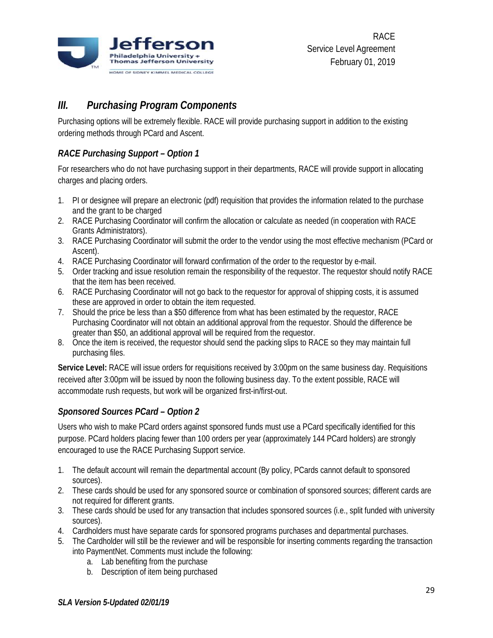

# *III. Purchasing Program Components*

Purchasing options will be extremely flexible. RACE will provide purchasing support in addition to the existing ordering methods through PCard and Ascent.

# <span id="page-28-0"></span>*RACE Purchasing Support – Option 1*

For researchers who do not have purchasing support in their departments, RACE will provide support in allocating charges and placing orders.

- 1. PI or designee will prepare an electronic (pdf) requisition that provides the information related to the purchase and the grant to be charged
- 2. RACE Purchasing Coordinator will confirm the allocation or calculate as needed (in cooperation with RACE Grants Administrators).
- 3. RACE Purchasing Coordinator will submit the order to the vendor using the most effective mechanism (PCard or Ascent).
- 4. RACE Purchasing Coordinator will forward confirmation of the order to the requestor by e-mail.
- 5. Order tracking and issue resolution remain the responsibility of the requestor. The requestor should notify RACE that the item has been received.
- 6. RACE Purchasing Coordinator will not go back to the requestor for approval of shipping costs, it is assumed these are approved in order to obtain the item requested.
- 7. Should the price be less than a \$50 difference from what has been estimated by the requestor, RACE Purchasing Coordinator will not obtain an additional approval from the requestor. Should the difference be greater than \$50, an additional approval will be required from the requestor.
- 8. Once the item is received, the requestor should send the packing slips to RACE so they may maintain full purchasing files.

**Service Level:** RACE will issue orders for requisitions received by 3:00pm on the same business day. Requisitions received after 3:00pm will be issued by noon the following business day. To the extent possible, RACE will accommodate rush requests, but work will be organized first-in/first-out.

## <span id="page-28-1"></span>*Sponsored Sources PCard – Option 2*

Users who wish to make PCard orders against sponsored funds must use a PCard specifically identified for this purpose. PCard holders placing fewer than 100 orders per year (approximately 144 PCard holders) are strongly encouraged to use the RACE Purchasing Support service.

- 1. The default account will remain the departmental account (By policy, PCards cannot default to sponsored sources).
- 2. These cards should be used for any sponsored source or combination of sponsored sources; different cards are not required for different grants.
- 3. These cards should be used for any transaction that includes sponsored sources (i.e., split funded with university sources).
- 4. Cardholders must have separate cards for sponsored programs purchases and departmental purchases.
- 5. The Cardholder will still be the reviewer and will be responsible for inserting comments regarding the transaction into PaymentNet. Comments must include the following:
	- a. Lab benefiting from the purchase
	- b. Description of item being purchased